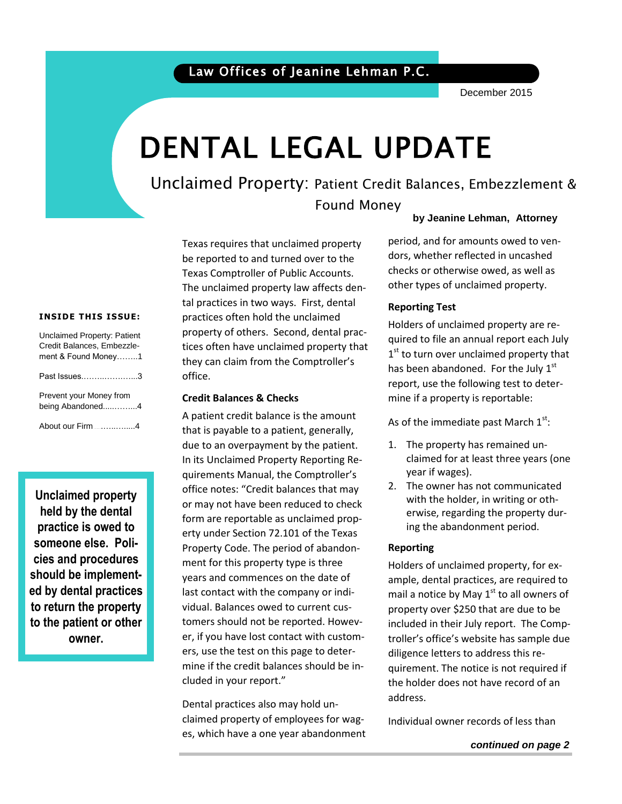### Law Offices of Jeanine Lehman P.C.

December 2015

# DENTAL LEGAL UPDATE

### Unclaimed Property: Patient Credit Balances, Embezzlement & Found Money

### **by Jeanine Lehman, Attorney**

 checks or otherwise owed, as well as period, and for amounts owed to vendors, whether reflected in uncashed other types of unclaimed property.

## **Reporting Test**

Holders of unclaimed property are required to file an annual report each July 1<sup>st</sup> to turn over unclaimed property that has been abandoned. For the July  $1<sup>st</sup>$ report, use the following test to determine if a property is reportable:

As of the immediate past March  $1^{\text{st}}$ :

- 1. The property has remained unclaimed for at least three years (one year if wages).
- 2. The owner has not communicated with the holder, in writing or otherwise, regarding the property during the abandonment period.

### **Reporting**

Holders of unclaimed property, for example, dental practices, are required to mail a notice by May  $1<sup>st</sup>$  to all owners of property over \$250 that are due to be included in their July report. The Comptroller's office's website has sample due diligence letters to address this requirement. The notice is not required if the holder does not have record of an address.

Individual owner records of less than

### *continued on page 2*

#### **INSIDE THIS ISSUE:**

| Unclaimed Property: Patient<br>Credit Balances, Embezzle-<br>ment & Found Money1 |  |
|----------------------------------------------------------------------------------|--|
| Past Issues3                                                                     |  |
| Prevent your Money from<br>being Abandoned4                                      |  |
| About our Firm 4                                                                 |  |

**Unclaimed property held by the dental practice is owed to someone else. Policies and procedures should be implemented by dental practices to return the property to the patient or other owner.** 

Texas requires that unclaimed property be reported to and turned over to the Texas Comptroller of Public Accounts. The unclaimed property law affects dental practices in two ways. First, dental practices often hold the unclaimed property of others. Second, dental practices often have unclaimed property that they can claim from the Comptroller's office.

### **Credit Balances & Checks**

A patient credit balance is the amount that is payable to a patient, generally, due to an overpayment by the patient. In its Unclaimed Property Reporting Requirements Manual, the Comptroller's office notes: "Credit balances that may or may not have been reduced to check form are reportable as unclaimed property under Section 72.101 of the Texas Property Code. The period of abandonment for this property type is three years and commences on the date of last contact with the company or individual. Balances owed to current customers should not be reported. However, if you have lost contact with customers, use the test on this page to determine if the credit balances should be included in your report."

Dental practices also may hold unclaimed property of employees for wages, which have a one year abandonment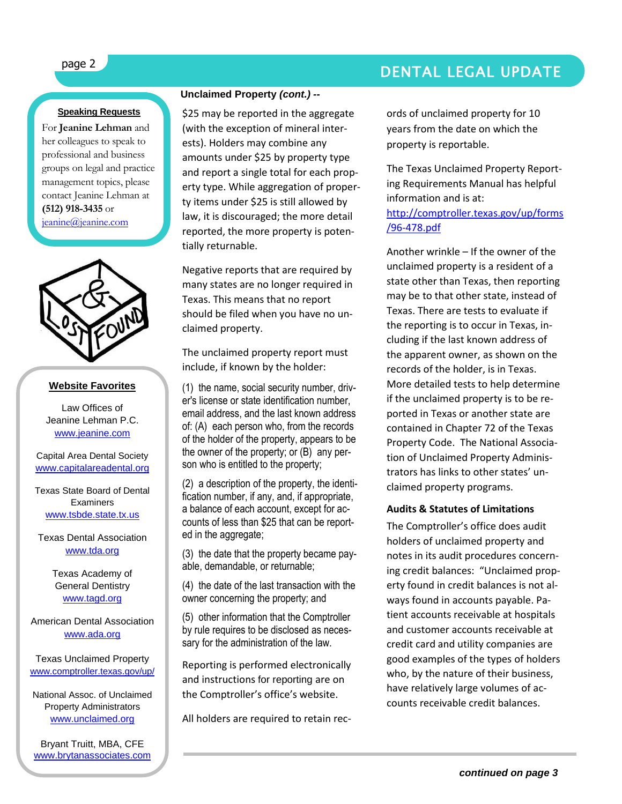### page 2 DENTAL LEGAL UPDATE

### **Speaking Requests**

For **Jeanine Lehman** and her colleagues to speak to professional and business groups on legal and practice management topics, please contact Jeanine Lehman at **(512) 918-3435** or [jeanine@jeanine.com](mailto:jeanine@jeanine.com)



ì

### **Website Favorites**

Law Offices of Jeanine Lehman P.C. [www.jeanine.com](http://www.jeanine.com/)

Capital Area Dental Society [www.capitalareadental.org](http://www.capitalareadental.org/)

Texas State Board of Dental Examiners [www.tsbde.state.tx.us](http://www.tsbde.state.tx.us/)

Texas Dental Association [www.tda.org](http://www.tda.org/)

> Texas Academy of General Dentistry [www.tagd.org](http://www.tagd.org/)

American Dental Association [www.ada.org](http://www.ada.org/)

Texas Unclaimed Property [www.comptroller.texas.gov/up/](http://www.comptroller.texas.gov/up/)

National Assoc. of Unclaimed Property Administrators [www.unclaimed.org](http://www.unclaimed.org/)

Bryant Truitt, MBA, CFE [www.brytanassociates.com](http://www.brytanassociates.com/)

### **Unclaimed Property** *(cont.) --*

\$25 may be reported in the aggregate (with the exception of mineral interests). Holders may combine any amounts under \$25 by property type and report a single total for each property type. While aggregation of property items under \$25 is still allowed by law, it is discouraged; the more detail reported, the more property is potentially returnable.

Negative reports that are required by many states are no longer required in Texas. This means that no report should be filed when you have no unclaimed property.

The unclaimed property report must include, if known by the holder:

(1) the name, social security number, driver's license or state identification number, email address, and the last known address of: (A) each person who, from the records of the holder of the property, appears to be the owner of the property; or (B) any person who is entitled to the property;

(2) a description of the property, the identification number, if any, and, if appropriate, a balance of each account, except for accounts of less than \$25 that can be reported in the aggregate;

(3) the date that the property became payable, demandable, or returnable;

(4) the date of the last transaction with the owner concerning the property; and

(5) other information that the Comptroller by rule requires to be disclosed as necessary for the administration of the law.

Reporting is performed electronically and instructions for reporting are on the Comptroller's office's website.

All holders are required to retain rec-

ords of unclaimed property for 10 years from the date on which the property is reportable.

The Texas Unclaimed Property Reporting Requirements Manual has helpful information and is at: [http://comptroller.texas.gov/up/forms](http://comptroller.texas.gov/up/forms/96-478.pdf) [/96-478.pdf](http://comptroller.texas.gov/up/forms/96-478.pdf)

Another wrinkle – If the owner of the unclaimed property is a resident of a state other than Texas, then reporting may be to that other state, instead of Texas. There are tests to evaluate if the reporting is to occur in Texas, including if the last known address of the apparent owner, as shown on the records of the holder, is in Texas. More detailed tests to help determine if the unclaimed property is to be reported in Texas or another state are contained in Chapter 72 of the Texas Property Code. The National Association of Unclaimed Property Administrators has links to other states' unclaimed property programs.

### **Audits & Statutes of Limitations**

The Comptroller's office does audit holders of unclaimed property and notes in its audit procedures concerning credit balances: "Unclaimed property found in credit balances is not always found in accounts payable. Patient accounts receivable at hospitals and customer accounts receivable at credit card and utility companies are good examples of the types of holders who, by the nature of their business, have relatively large volumes of accounts receivable credit balances.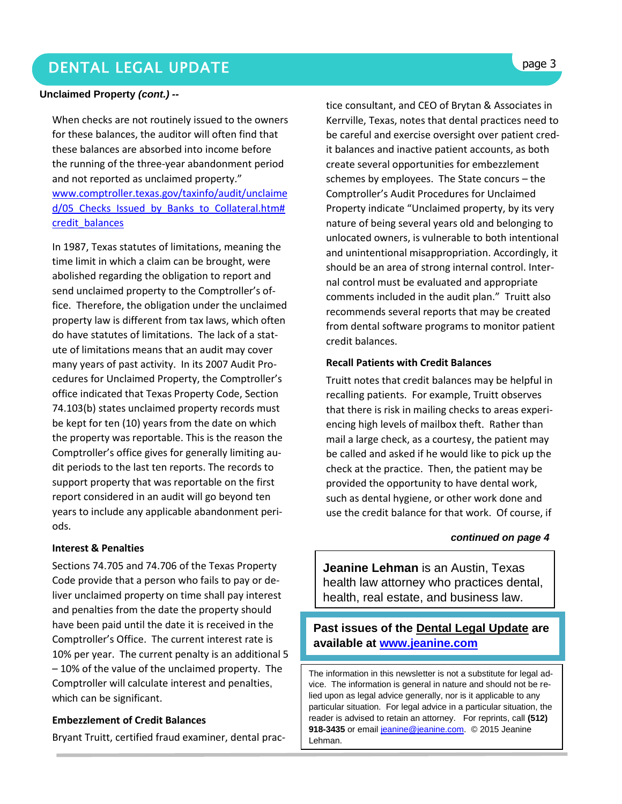### DENTAL LEGAL UPDATE **page 3**

### **Unclaimed Property** *(cont.) --*

When checks are not routinely issued to the owners for these balances, the auditor will often find that these balances are absorbed into income before the running of the three-year abandonment period and not reported as unclaimed property." [www.comptroller.texas.gov/taxinfo/audit/unclaime](http://www.comptroller.texas.gov/taxinfo/audit/unclaimed/05_Checks_Issued_by_Banks_to_Collateral.htm#credit_balances) d/05 Checks Issued by Banks to Collateral.htm# [credit\\_balances](http://www.comptroller.texas.gov/taxinfo/audit/unclaimed/05_Checks_Issued_by_Banks_to_Collateral.htm#credit_balances) 

In 1987, Texas statutes of limitations, meaning the time limit in which a claim can be brought, were abolished regarding the obligation to report and send unclaimed property to the Comptroller's office. Therefore, the obligation under the unclaimed property law is different from tax laws, which often do have statutes of limitations. The lack of a statute of limitations means that an audit may cover many years of past activity. In its 2007 Audit Procedures for Unclaimed Property, the Comptroller's office indicated that Texas Property Code, Section 74.103(b) states unclaimed property records must be kept for ten (10) years from the date on which the property was reportable. This is the reason the Comptroller's office gives for generally limiting audit periods to the last ten reports. The records to support property that was reportable on the first report considered in an audit will go beyond ten years to include any applicable abandonment periods.

#### **Interest & Penalties**

Sections 74.705 and 74.706 of the Texas Property Code provide that a person who fails to pay or deliver unclaimed property on time shall pay interest and penalties from the date the property should have been paid until the date it is received in the Comptroller's Office. The current interest rate is 10% per year. The current penalty is an additional 5 – 10% of the value of the unclaimed property. The Comptroller will calculate interest and penalties, which can be significant.

### **Embezzlement of Credit Balances**

Bryant Truitt, certified fraud examiner, dental prac-

tice consultant, and CEO of Brytan & Associates in Kerrville, Texas, notes that dental practices need to be careful and exercise oversight over patient credit balances and inactive patient accounts, as both create several opportunities for embezzlement schemes by employees. The State concurs – the Comptroller's Audit Procedures for Unclaimed Property indicate "Unclaimed property, by its very nature of being several years old and belonging to unlocated owners, is vulnerable to both intentional and unintentional misappropriation. Accordingly, it should be an area of strong internal control. Internal control must be evaluated and appropriate comments included in the audit plan." Truitt also recommends several reports that may be created from dental software programs to monitor patient credit balances.

### **Recall Patients with Credit Balances**

Truitt notes that credit balances may be helpful in recalling patients. For example, Truitt observes that there is risk in mailing checks to areas experiencing high levels of mailbox theft. Rather than mail a large check, as a courtesy, the patient may be called and asked if he would like to pick up the check at the practice. Then, the patient may be provided the opportunity to have dental work, such as dental hygiene, or other work done and use the credit balance for that work. Of course, if

#### *continued on page 4*

**Jeanine Lehman** is an Austin, Texas health law attorney who practices dental, health, real estate, and business law.

### **Past issues of the Dental Legal Update are available at [www.jeanine.com](http://www.jeanine.com/)**

The information in this newsletter is not a substitute for legal advice. The information is general in nature and should not be relied upon as legal advice generally, nor is it applicable to any particular situation. For legal advice in a particular situation, the reader is advised to retain an attorney. For reprints, call **(512)**  918-3435 or email [jeanine@jeanine.com.](mailto:jeanine@jeanine.com) © 2015 Jeanine Lehman.